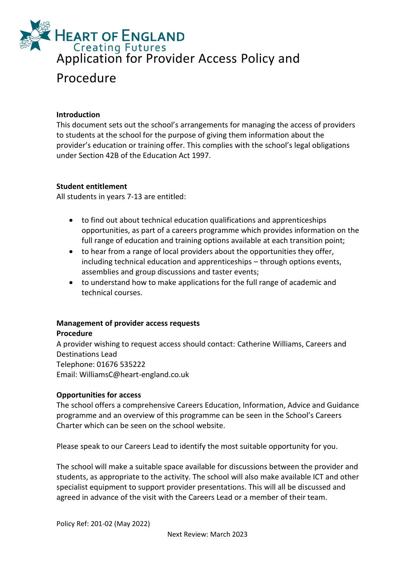

# Procedure

### **Introduction**

This document sets out the school's arrangements for managing the access of providers to students at the school for the purpose of giving them information about the provider's education or training offer. This complies with the school's legal obligations under Section 42B of the Education Act 1997.

#### **Student entitlement**

All students in years 7-13 are entitled:

- to find out about technical education qualifications and apprenticeships opportunities, as part of a careers programme which provides information on the full range of education and training options available at each transition point;
- to hear from a range of local providers about the opportunities they offer, including technical education and apprenticeships – through options events, assemblies and group discussions and taster events;
- to understand how to make applications for the full range of academic and technical courses.

#### **Management of provider access requests Procedure**

A provider wishing to request access should contact: Catherine Williams, Careers and Destinations Lead Telephone: 01676 535222 Email: WilliamsC@heart-england.co.uk

## **Opportunities for access**

The school offers a comprehensive Careers Education, Information, Advice and Guidance programme and an overview of this programme can be seen in the School's Careers Charter which can be seen on the school website.

Please speak to our Careers Lead to identify the most suitable opportunity for you.

The school will make a suitable space available for discussions between the provider and students, as appropriate to the activity. The school will also make available ICT and other specialist equipment to support provider presentations. This will all be discussed and agreed in advance of the visit with the Careers Lead or a member of their team.

Policy Ref: 201-02 (May 2022)